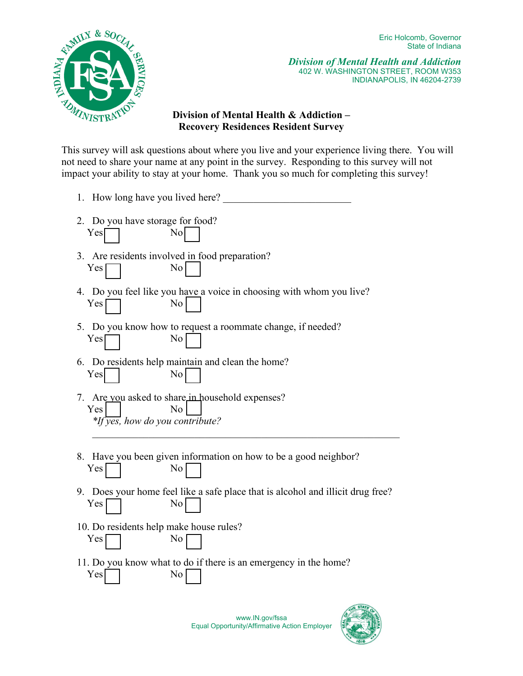

*Division of Mental Health and Addiction*  402 W. WASHINGTON STREET, ROOM W353 INDIANAPOLIS, IN 46204-2739

## **Division of Mental Health & Addiction – Recovery Residences Resident Survey**

This survey will ask questions about where you live and your experience living there. You will not need to share your name at any point in the survey. Responding to this survey will not impact your ability to stay at your home. Thank you so much for completing this survey!

| 1. How long have you lived here?                                                                    |
|-----------------------------------------------------------------------------------------------------|
| 2. Do you have storage for food?<br>Yes<br>No                                                       |
| 3. Are residents involved in food preparation?<br>No<br>Yes                                         |
| 4. Do you feel like you have a voice in choosing with whom you live?<br>No<br>Yes                   |
| 5. Do you know how to request a roommate change, if needed?<br>No<br>Yes                            |
| 6. Do residents help maintain and clean the home?<br>Yes<br>No                                      |
| 7. Are you asked to share in household expenses?<br>Yes<br>No<br>$*$ If yes, how do you contribute? |
| 8. Have you been given information on how to be a good neighbor?<br>Yes<br>No                       |
| Does your home feel like a safe place that is alcohol and illicit drug free?<br>9.<br>No<br>Yes     |
| 10. Do residents help make house rules?                                                             |

- 10. Do residents help make house rules? Yes No
- 11. Do you know what to do if there is an emergency in the home? Yes No